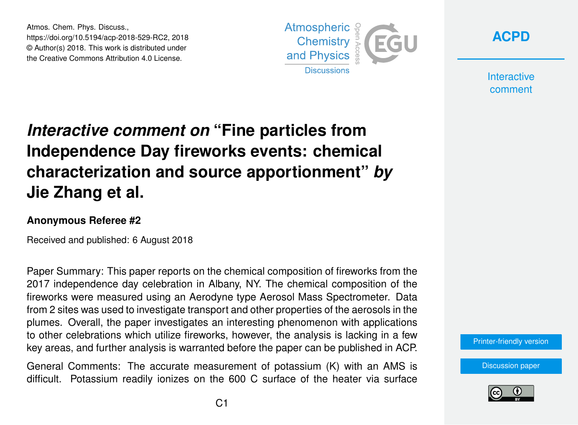Atmos. Chem. Phys. Discuss., https://doi.org/10.5194/acp-2018-529-RC2, 2018 © Author(s) 2018. This work is distributed under the Creative Commons Attribution 4.0 License.





**Interactive** comment

## *Interactive comment on* **"Fine particles from Independence Day fireworks events: chemical characterization and source apportionment"** *by* **Jie Zhang et al.**

## **Anonymous Referee #2**

Received and published: 6 August 2018

Paper Summary: This paper reports on the chemical composition of fireworks from the 2017 independence day celebration in Albany, NY. The chemical composition of the fireworks were measured using an Aerodyne type Aerosol Mass Spectrometer. Data from 2 sites was used to investigate transport and other properties of the aerosols in the plumes. Overall, the paper investigates an interesting phenomenon with applications to other celebrations which utilize fireworks, however, the analysis is lacking in a few key areas, and further analysis is warranted before the paper can be published in ACP.

General Comments: The accurate measurement of potassium (K) with an AMS is difficult. Potassium readily ionizes on the 600 C surface of the heater via surface [Printer-friendly version](https://www.atmos-chem-phys-discuss.net/acp-2018-529/acp-2018-529-RC2-print.pdf)

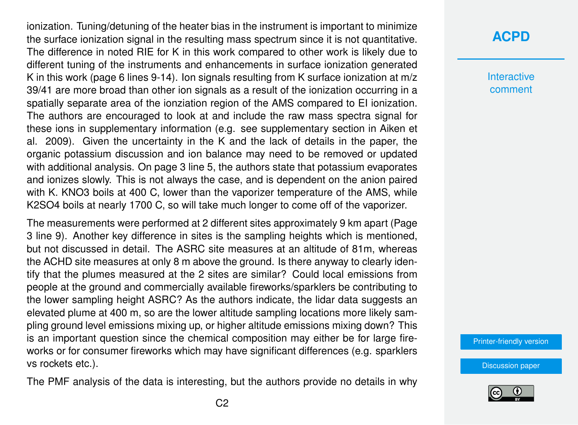ionization. Tuning/detuning of the heater bias in the instrument is important to minimize the surface ionization signal in the resulting mass spectrum since it is not quantitative. The difference in noted RIE for K in this work compared to other work is likely due to different tuning of the instruments and enhancements in surface ionization generated K in this work (page 6 lines 9-14). Ion signals resulting from K surface ionization at m/z 39/41 are more broad than other ion signals as a result of the ionization occurring in a spatially separate area of the ionziation region of the AMS compared to EI ionization. The authors are encouraged to look at and include the raw mass spectra signal for these ions in supplementary information (e.g. see supplementary section in Aiken et al. 2009). Given the uncertainty in the K and the lack of details in the paper, the organic potassium discussion and ion balance may need to be removed or updated with additional analysis. On page 3 line 5, the authors state that potassium evaporates and ionizes slowly. This is not always the case, and is dependent on the anion paired with K. KNO3 boils at 400 C, lower than the vaporizer temperature of the AMS, while K2SO4 boils at nearly 1700 C, so will take much longer to come off of the vaporizer.

The measurements were performed at 2 different sites approximately 9 km apart (Page 3 line 9). Another key difference in sites is the sampling heights which is mentioned, but not discussed in detail. The ASRC site measures at an altitude of 81m, whereas the ACHD site measures at only 8 m above the ground. Is there anyway to clearly identify that the plumes measured at the 2 sites are similar? Could local emissions from people at the ground and commercially available fireworks/sparklers be contributing to the lower sampling height ASRC? As the authors indicate, the lidar data suggests an elevated plume at 400 m, so are the lower altitude sampling locations more likely sampling ground level emissions mixing up, or higher altitude emissions mixing down? This is an important question since the chemical composition may either be for large fireworks or for consumer fireworks which may have significant differences (e.g. sparklers vs rockets etc.).

The PMF analysis of the data is interesting, but the authors provide no details in why

## **[ACPD](https://www.atmos-chem-phys-discuss.net/)**

**Interactive** comment

[Printer-friendly version](https://www.atmos-chem-phys-discuss.net/acp-2018-529/acp-2018-529-RC2-print.pdf)

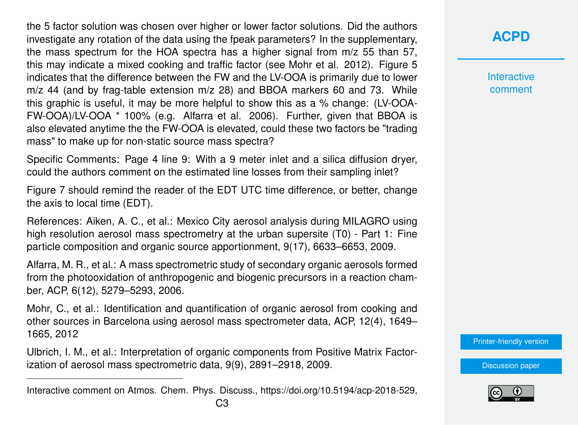the 5 factor solution was chosen over higher or lower factor solutions. Did the authors investigate any rotation of the data using the fpeak parameters? In the supplementary, the mass spectrum for the HOA spectra has a higher signal from m/z 55 than 57, this may indicate a mixed cooking and traffic factor (see Mohr et al. 2012). Figure 5 indicates that the difference between the FW and the LV-OOA is primarily due to lower m/z 44 (and by frag-table extension m/z 28) and BBOA markers 60 and 73. While this graphic is useful, it may be more helpful to show this as a % change: (LV-OOA-FW-OOA)/LV-OOA \* 100% (e.g. Alfarra et al. 2006). Further, given that BBOA is also elevated anytime the the FW-OOA is elevated, could these two factors be "trading mass" to make up for non-static source mass spectra?

Specific Comments: Page 4 line 9: With a 9 meter inlet and a silica diffusion dryer, could the authors comment on the estimated line losses from their sampling inlet?

Figure 7 should remind the reader of the EDT UTC time difference, or better, change the axis to local time (EDT).

References: Aiken, A. C., et al.: Mexico City aerosol analysis during MILAGRO using high resolution aerosol mass spectrometry at the urban supersite (T0) - Part 1: Fine particle composition and organic source apportionment, 9(17), 6633–6653, 2009.

Alfarra, M. R., et al.: A mass spectrometric study of secondary organic aerosols formed from the photooxidation of anthropogenic and biogenic precursors in a reaction chamber, ACP, 6(12), 5279–5293, 2006.

Mohr, C., et al.: Identification and quantification of organic aerosol from cooking and other sources in Barcelona using aerosol mass spectrometer data, ACP, 12(4), 1649– 1665, 2012

Ulbrich, I. M., et al.: Interpretation of organic components from Positive Matrix Factorization of aerosol mass spectrometric data, 9(9), 2891–2918, 2009.

**Interactive** comment

[Printer-friendly version](https://www.atmos-chem-phys-discuss.net/acp-2018-529/acp-2018-529-RC2-print.pdf)



Interactive comment on Atmos. Chem. Phys. Discuss., https://doi.org/10.5194/acp-2018-529,